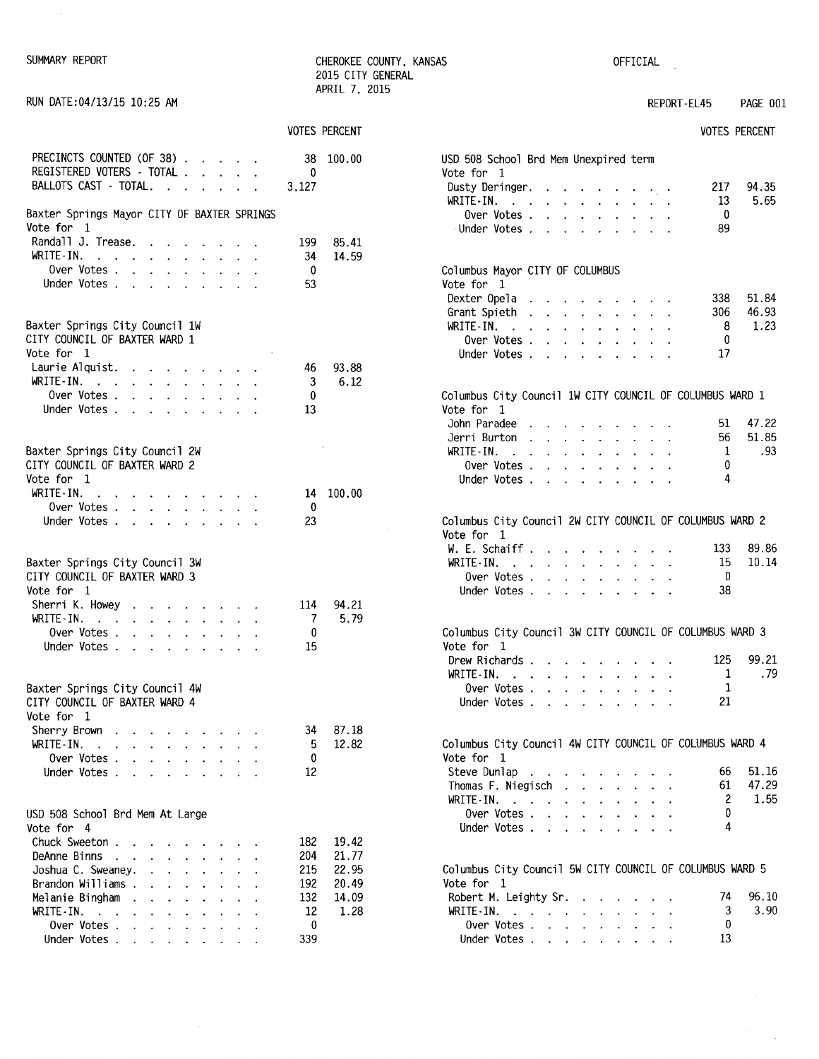| SUMMARY | REPORT |
|---------|--------|
|---------|--------|

 $\bar{\mathcal{A}}$ 

CHEROKEE COUNTY, KANSAS 2015 CITY GENERAL

OFFICIAL

 $\ddot{\phantom{a}}$ 

| RUN DATE:04/13/15 10:25 AM                                                                                                                                                  |                       | APRIL 7, 2015           | REPORT-EL45<br>PAGE 001                                                                                                                                                                                                                                                                                                                   |      |
|-----------------------------------------------------------------------------------------------------------------------------------------------------------------------------|-----------------------|-------------------------|-------------------------------------------------------------------------------------------------------------------------------------------------------------------------------------------------------------------------------------------------------------------------------------------------------------------------------------------|------|
|                                                                                                                                                                             |                       | <b>VOTES PERCENT</b>    | <b>VOTES PERCENT</b>                                                                                                                                                                                                                                                                                                                      |      |
| PRECINCTS COUNTED (OF 38)<br>REGISTERED VOTERS - TOTAL<br>BALLOTS CAST - TOTAL.                                                                                             | 38<br>0<br>3,127      | 100.00                  | USD 508 School Brd Mem Unexpired term<br>Vote for 1<br>217<br>94.35<br>Dusty Deringer.                                                                                                                                                                                                                                                    |      |
| Baxter Springs Mayor CITY OF BAXTER SPRINGS<br>Vote for 1                                                                                                                   |                       |                         | 5.65<br>WRITE-IN.<br>13<br>Over Votes<br>0<br>Under Votes<br>89                                                                                                                                                                                                                                                                           |      |
| Randall J. Trease.<br>WRITE-IN.<br>Over Votes                                                                                                                               | 199<br>34<br>0        | 85.41<br>14.59          | Columbus Mayor CITY OF COLUMBUS                                                                                                                                                                                                                                                                                                           |      |
| Under Votes<br>Baxter Springs City Council 1W                                                                                                                               | 53                    |                         | Vote for 1<br>51.84<br>Dexter Opela<br>338<br>the contract of the contract of the<br>46.93<br>Grant Spieth<br>306<br>8<br>1.23<br>WRITE-IN.                                                                                                                                                                                               |      |
| CITY COUNCIL OF BAXTER WARD 1<br>Vote for 1<br>Laurie Alquist.                                                                                                              | 46                    | 93.88                   | Over Votes<br>0<br>17<br>Under Votes                                                                                                                                                                                                                                                                                                      |      |
| WRITE-IN.<br>Over Votes<br>Under Votes                                                                                                                                      | 3<br>0<br>13          | 6.12                    | Columbus City Council 1W CITY COUNCIL OF COLUMBUS WARD 1<br>Vote for 1                                                                                                                                                                                                                                                                    |      |
| Baxter Springs City Council 2W                                                                                                                                              |                       |                         | 47.22<br>John Paradee<br>51<br>and the contract of the contract of the contract of the contract of the contract of the contract of the contract of the contract of the contract of the contract of the contract of the contract of the contract of the contra<br>51.85<br>Jerri Burton<br>56<br>1<br>WRITE-IN. $\cdots$ $\cdots$ $\cdots$ | .93  |
| CITY COUNCIL OF BAXTER WARD 2<br>Vote for 1<br>WRITE-IN.<br>the contract of the contract of the contract of the contract of the contract of the contract of the contract of |                       | 14 100.00               | 0<br>Over Votes $\ldots$ $\ldots$ $\ldots$ $\ldots$<br>4<br>Under Votes                                                                                                                                                                                                                                                                   |      |
| Over Votes<br>Under Votes                                                                                                                                                   | 0<br>23               |                         | Columbus City Council 2W CITY COUNCIL OF COLUMBUS WARD 2<br>Vote for 1                                                                                                                                                                                                                                                                    |      |
| Baxter Springs City Council 3W<br>CITY COUNCIL OF BAXTER WARD 3<br>Vote for 1                                                                                               |                       |                         | 89.86<br>W. E. Schaiff.<br>133<br>10.14<br>WRITE-IN.<br>15<br>0<br>Over Votes<br>38<br>Under Votes                                                                                                                                                                                                                                        |      |
| Sherri K. Howey<br>WRITE-IN.<br>Over Votes                                                                                                                                  | 114<br>7<br>0         | 94.21<br>5.79           | Columbus City Council 3W CITY COUNCIL OF COLUMBUS WARD 3                                                                                                                                                                                                                                                                                  |      |
| Under Votes                                                                                                                                                                 | 15                    |                         | Vote for 1<br>99.21<br>125<br>Drew Richards<br>WRITE-IN.<br>1                                                                                                                                                                                                                                                                             | .79  |
| Baxter Springs City Council 4W<br>CITY COUNCIL OF BAXTER WARD 4<br>Vote for 1                                                                                               |                       |                         | Over Votes<br>21<br>Under Votes                                                                                                                                                                                                                                                                                                           |      |
| Sherry Brown<br>WRITE-IN.<br>the contract of the contract of the<br>Over Votes                                                                                              | 34<br>5<br>0          | 87.18<br>12.82          | Columbus City Council 4W CITY COUNCIL OF COLUMBUS WARD 4<br>Vote for 1                                                                                                                                                                                                                                                                    |      |
| Under Votes                                                                                                                                                                 | 12                    |                         | 51.16<br>Steve Dunlap<br>66<br>$\mathbf{r}$ , $\mathbf{r}$ , $\mathbf{r}$ , $\mathbf{r}$ , $\mathbf{r}$ , $\mathbf{r}$ , $\mathbf{r}$<br>47.29<br>Thomas F. Niegisch<br>61<br>2<br>WRITE-IN.                                                                                                                                              | 1.55 |
| USD 508 School Brd Mem At Large<br>Vote for 4<br>Chuck Sweeton                                                                                                              | 182                   | 19.42                   | Over Votes<br>0<br>4<br>Under Votes                                                                                                                                                                                                                                                                                                       |      |
| DeAnne Binns<br>Joshua C. Sweaney.<br>and the contract of the contract of the<br>Brandon Williams                                                                           | 204<br>215<br>192     | 21.77<br>22.95<br>20.49 | Columbus City Council 5W CITY COUNCIL OF COLUMBUS WARD 5<br>Vote for 1                                                                                                                                                                                                                                                                    |      |
| Melanie Bingham<br>WRITE-IN.<br>Over Votes<br>Under Votes                                                                                                                   | 132<br>12<br>0<br>339 | 14.09<br>1.28           | 96.10<br>Robert M. Leighty Sr.<br>74<br>WRITE-IN.<br>3<br>Over Votes<br>0<br>13<br>Under Votes                                                                                                                                                                                                                                            | 3.90 |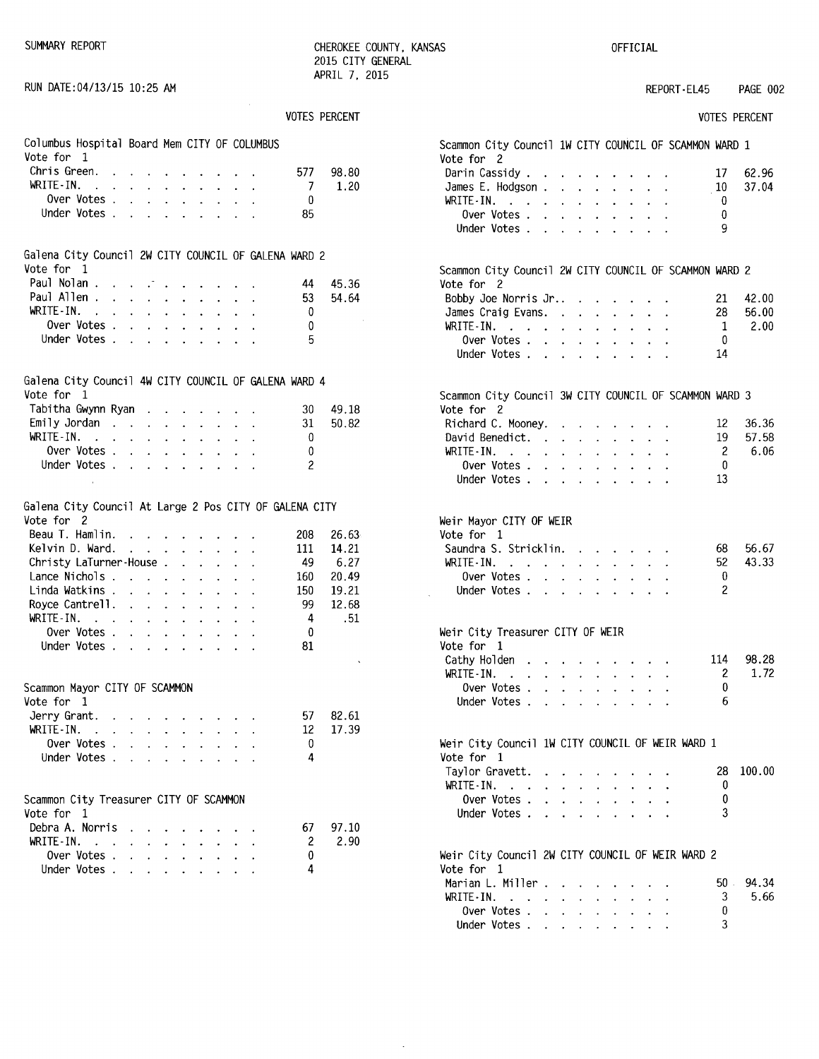RUN DATE:04/13/15 10:25 AM

SUMMARY REPORT **CHEROKEE COUNTY, KANSAS** 2015 CITY GENERAL APRIL 7. 2015

 $\ddot{\phantom{a}}$ 

OFFICIAL

## REPORT-EL45 PAGE 002

|  | <b>VOTES PERCENT</b> |
|--|----------------------|
|--|----------------------|

|                                                                       |                                         |                                                                          |                           |                                                                            |                             |                                                                                                                       |                           |                           |                      |                | VOTES PERCENT |
|-----------------------------------------------------------------------|-----------------------------------------|--------------------------------------------------------------------------|---------------------------|----------------------------------------------------------------------------|-----------------------------|-----------------------------------------------------------------------------------------------------------------------|---------------------------|---------------------------|----------------------|----------------|---------------|
| Columbus Hospital Board Mem CITY OF COLUMBUS<br>Vote for<br>1         |                                         |                                                                          |                           |                                                                            |                             |                                                                                                                       |                           |                           |                      |                |               |
| Chris Green.                                                          |                                         |                                                                          |                           | $\mathbf{r} = \mathbf{r} \times \mathbf{r} = \mathbf{r} \times \mathbf{r}$ |                             |                                                                                                                       |                           |                           |                      | 577            | 98.80         |
| WRITE-IN.                                                             |                                         | $\ddot{\phantom{0}}$                                                     |                           | $\mathbf{z} = \mathbf{z} + \mathbf{z}$                                     | $\mathcal{L}^{\pm}$         | $\bullet$ .                                                                                                           | $\mathbf{L}^{\text{max}}$ |                           |                      | 7              | 1.20          |
| Over Votes .                                                          |                                         | $\mathbf{L}$                                                             |                           |                                                                            |                             | $\mathcal{L}^{\mathcal{A}}$ , $\mathcal{L}^{\mathcal{A}}$ , $\mathcal{L}^{\mathcal{A}}$ , $\mathcal{L}^{\mathcal{A}}$ |                           | $\mathbf{L}^{(1)}$        |                      | 0              |               |
| Under Votes                                                           |                                         |                                                                          |                           |                                                                            |                             |                                                                                                                       |                           |                           |                      | 85             |               |
| Galena City Council 2W CITY COUNCIL OF GALENA WARD 2<br>Vote for<br>1 |                                         |                                                                          |                           |                                                                            |                             |                                                                                                                       |                           |                           |                      |                |               |
| Paul Nolan.                                                           |                                         | $\mathcal{L}^{\text{max}}$                                               |                           | $\bullet$ .                                                                | $\bullet$ .                 |                                                                                                                       |                           |                           |                      | 44             | 45.36         |
| Paul Allen                                                            |                                         | $\mathbf{L}^{\text{max}}$                                                | $\mathbf{L}^{\text{max}}$ | $\sim$                                                                     | $\mathbf{A}^{\mathrm{eff}}$ | $\ddot{\phantom{0}}$                                                                                                  | $\sim$                    | $\ddot{\phantom{0}}$      |                      | 53             | 54.64         |
| WRITE-IN.                                                             | $\sim 10^{-11}$ km $^{-1}$              | $\ddot{\phantom{0}}$                                                     |                           | $\mathbf{r} = \mathbf{r} + \mathbf{r}$ .                                   |                             | $\ddot{\phantom{0}}$                                                                                                  | $\ddot{\phantom{0}}$      | $\mathbf{L}^{\text{max}}$ |                      | 0              |               |
| Over Votes .                                                          |                                         | $\mathbf{z}$ .                                                           |                           | $\mathbf{r} = \mathbf{r} \cdot \mathbf{r}$                                 |                             | $\mathbf{u} = \mathbf{u} \cdot \mathbf{u}$                                                                            | $\sim$                    | $\mathbf{z}$ .            |                      | 0              |               |
| Under Votes .                                                         |                                         | $\mathbf{r}$                                                             | $\ddot{\phantom{0}}$      | $\sim 10^{-11}$                                                            | $\sim$                      | $\mathbf{L}^{\text{max}}$                                                                                             |                           | $\mathbf{a}$ .            |                      | 5              |               |
| Galena City Council 4W CITY COUNCIL OF GALENA WARD 4<br>Vote for 1    |                                         |                                                                          |                           |                                                                            |                             |                                                                                                                       |                           |                           |                      |                |               |
| Tabitha Gwynn Ryan                                                    |                                         |                                                                          |                           |                                                                            |                             |                                                                                                                       |                           |                           |                      | 30             | 49.18         |
| Emily Jordan                                                          |                                         |                                                                          |                           |                                                                            |                             | $\mathbf{r} = \mathbf{r} \cdot \mathbf{r}$                                                                            |                           | $\ddot{\phantom{0}}$      | $\ddot{\phantom{0}}$ | 31             | 50.82         |
| WRITE-IN.                                                             | $\mathcal{A}=\mathcal{A}=\mathcal{A}$ . |                                                                          |                           | $\mathbf{z} = \mathbf{z} + \mathbf{z}$                                     | $\sim$ 10 $\pm$             | $\mathbf{L}^{\text{max}}$                                                                                             | $\bullet$ .               | $\mathbf{L}^{\text{max}}$ |                      | 0              |               |
| Over Votes .                                                          |                                         | $\ddot{\phantom{a}}$                                                     | $\mathbf{L}^{\text{max}}$ | $\sim$                                                                     | $\omega$ .                  | $\mathbf{z}$                                                                                                          | $\bullet$                 | $\ddot{\phantom{a}}$      |                      | 0              |               |
| Under Votes                                                           |                                         |                                                                          |                           |                                                                            | $\sim$                      | $\ddot{\phantom{a}}$                                                                                                  | $\mathcal{L}_{\bullet}$   | $\mathbf{L}^{\text{max}}$ |                      | $\overline{2}$ |               |
|                                                                       |                                         |                                                                          |                           |                                                                            |                             |                                                                                                                       |                           |                           |                      |                |               |
| Galena City Council At Large 2 Pos CITY OF GALENA CITY<br>Vote for  2 |                                         |                                                                          |                           |                                                                            |                             |                                                                                                                       |                           |                           |                      |                |               |
| Beau T. Hamlin.                                                       |                                         | $\mathbf{z} = \mathbf{z} + \mathbf{z}$ , where $\mathbf{z} = \mathbf{z}$ |                           |                                                                            |                             |                                                                                                                       |                           |                           |                      | 208            | 26.63         |
| Kelvin D. Ward.                                                       |                                         | $\ddot{\phantom{0}}$                                                     |                           | $\epsilon = \epsilon - \epsilon$ .                                         |                             | $\sim$                                                                                                                |                           |                           |                      | 111            | 14.21         |
| Christy LaTurner-House.                                               |                                         |                                                                          |                           |                                                                            | $\mathbf{L}^{\text{max}}$   | $\ddot{\phantom{0}}$                                                                                                  | $\ddot{\phantom{0}}$      |                           |                      | -49            | 6.27          |
| Lance Nichols                                                         |                                         |                                                                          |                           |                                                                            | $\ddot{\phantom{a}}$        | $\ddot{\phantom{0}}$                                                                                                  | $\ddot{\phantom{0}}$      |                           |                      | 160            | 20.49         |
| Linda Watkins .                                                       |                                         | $\mathbf{z} = \mathbf{z} + \mathbf{z}$ .                                 |                           |                                                                            | $\mathbf{L}^{\mathcal{A}}$  | $\ddot{\phantom{0}}$                                                                                                  | $\ddot{\phantom{0}}$      | $\ddot{\phantom{0}}$      | $\ddot{\phantom{0}}$ | 150            | 19.21         |
| Royce Cantrell.                                                       |                                         |                                                                          |                           | $\mathbf{r}$                                                               | $\ddot{\phantom{0}}$        | $\bullet$                                                                                                             | $\ddot{\phantom{0}}$      |                           |                      | 99             | 12.68         |
| $WRITE-IN.$ .                                                         |                                         | $\ddot{\phantom{0}}$                                                     | $\ddot{\phantom{a}}$      | $\sim$                                                                     | $\sim$                      | $\ddot{\phantom{0}}$                                                                                                  | $\mathbf{v}$              | $\sim$                    |                      | 4              | .51           |
| Over Votes .                                                          |                                         | $\mathbf{L}$                                                             |                           | $\mathbf{1}$ and $\mathbf{1}$ and $\mathbf{1}$ and $\mathbf{1}$            |                             |                                                                                                                       | $\sim$ $-$                | $\mathbf{L}$              |                      | 0              |               |
| Under Votes                                                           |                                         |                                                                          |                           |                                                                            |                             | $\mathbf{z} = \mathbf{z} + \mathbf{z} + \mathbf{z} + \mathbf{z} + \mathbf{z}$                                         |                           | $\mathbf{L}^{\text{max}}$ | $\ddot{\phantom{0}}$ | 81             |               |
| Scammon Mayor CITY OF SCAMMON<br>Vote for<br>1                        |                                         |                                                                          |                           |                                                                            |                             |                                                                                                                       |                           |                           |                      |                |               |
| Jerry Grant.                                                          |                                         |                                                                          |                           |                                                                            |                             |                                                                                                                       |                           |                           |                      | 57             | 82.61         |
| WRITE IN.                                                             | $\mathbf{r}$                            | $\ddot{\phantom{0}}$                                                     |                           |                                                                            |                             |                                                                                                                       |                           |                           |                      | 12             | 17.39         |
| Over Votes .                                                          |                                         | $\ddot{\phantom{0}}$                                                     | $\ddot{\phantom{0}}$      | $\ddot{\phantom{0}}$                                                       | $\ddot{\phantom{0}}$        | $\ddot{\phantom{0}}$                                                                                                  |                           |                           |                      | 0              |               |
| Under Votes.                                                          |                                         | $\ddot{\phantom{0}}$                                                     |                           |                                                                            | $\ddot{\phantom{0}}$        | $\ddot{\phantom{0}}$                                                                                                  |                           |                           |                      | 4              |               |
| Scammon City Treasurer CITY OF SCAMMON<br>Vote for<br>$\mathbf{1}$    |                                         |                                                                          |                           |                                                                            |                             |                                                                                                                       |                           |                           |                      |                |               |
| Debra A. Norris                                                       |                                         |                                                                          |                           |                                                                            |                             |                                                                                                                       |                           |                           |                      | 67             | 97.10         |
| WRITE-IN.                                                             | $\sim 10$ .                             | ٠                                                                        | $\ddot{\phantom{0}}$      |                                                                            |                             |                                                                                                                       |                           |                           |                      | 2              | 2.90          |
| Over Votes.                                                           |                                         | $\ddot{\phantom{a}}$<br>$\ddot{\phantom{0}}$                             |                           | $\ddot{\phantom{0}}$                                                       | $\cdot$                     | $\ddot{\phantom{0}}$                                                                                                  |                           |                           |                      | 0              |               |
| Under Votes .                                                         |                                         | $\cdot$                                                                  |                           |                                                                            |                             |                                                                                                                       |                           |                           |                      | 4              |               |
|                                                                       |                                         |                                                                          |                           |                                                                            |                             |                                                                                                                       |                           |                           |                      |                |               |

| Scammon City Council 1W CITY COUNCIL OF SCAMMON WARD 1               |                                                                 |                                            |                                        |                             |                                              |                                                                    |                      |                      |                |        |
|----------------------------------------------------------------------|-----------------------------------------------------------------|--------------------------------------------|----------------------------------------|-----------------------------|----------------------------------------------|--------------------------------------------------------------------|----------------------|----------------------|----------------|--------|
| Vote for 2                                                           |                                                                 |                                            |                                        |                             |                                              |                                                                    |                      |                      |                |        |
| Darin Cassidy                                                        |                                                                 |                                            |                                        |                             |                                              | and the contract of the contract of                                |                      |                      | 17             | 62.96  |
| James E. Hodgson .                                                   |                                                                 | $\mathbf{L}^{\text{max}}$                  | $\mathcal{L}^{\text{max}}$             |                             | $\bullet$ - $\bullet$ - $\bullet$            | $\bullet$ .                                                        | $\sim$               |                      | 10             | 37.04  |
| WRITE-IN.                                                            | $\bullet$                                                       | $\mathbf{L}^{\text{max}}$                  | $\ddot{\phantom{0}}$                   | $\mathcal{L}^{\mathcal{L}}$ | $\mathcal{L}^{\pm}$                          | $\ddot{\phantom{0}}$                                               | $\ddot{\phantom{0}}$ |                      | - 0            |        |
| Over Votes .                                                         |                                                                 |                                            | $\mathbf{r} = \mathbf{r} \mathbf{r}$ . |                             |                                              | $\mathbf{r} = \mathbf{r} + \mathbf{r} + \mathbf{r} + \mathbf{r}$ . |                      |                      | 0              |        |
| Under Votes                                                          |                                                                 |                                            |                                        |                             |                                              |                                                                    |                      |                      | 9              |        |
|                                                                      |                                                                 |                                            |                                        |                             |                                              |                                                                    |                      |                      |                |        |
|                                                                      |                                                                 |                                            |                                        |                             |                                              |                                                                    |                      |                      |                |        |
| Scammon City Council 2W CITY COUNCIL OF SCAMMON WARD 2<br>Vote for 2 |                                                                 |                                            |                                        |                             |                                              |                                                                    |                      |                      |                |        |
| Bobby Joe Norris Jr                                                  |                                                                 |                                            |                                        | $\sim 100$                  | $\ddot{\phantom{0}}$                         |                                                                    |                      |                      | 21             | 42.00  |
| James Craig Evans. .                                                 |                                                                 |                                            |                                        | $\sim$ $\sim$ $\sim$        | $\ddot{\phantom{0}}$                         | $\sim$                                                             | $\ddot{\phantom{0}}$ |                      | 28             | 56.00  |
| WRITE-IN.                                                            | $\mathcal{A}$ . The set of the set of the $\mathcal{A}$         |                                            |                                        |                             | $\mathcal{L}^{\text{max}}$                   | $\mathbf{z}$                                                       | $\ddot{\phantom{0}}$ |                      | -1             | 2.00   |
| Over Votes .                                                         | $\ddot{\phantom{0}}$                                            | $\sim$                                     | $\sim$ $-$                             | $\mathcal{L}^{\text{max}}$  |                                              | $\bullet$ .<br><br><br><br><br><br><br><br><br><br><br><br>        | $\bullet$ .          |                      | 0              |        |
| Under Votes .                                                        | $\ddot{\phantom{a}}$                                            | $\ddot{\phantom{0}}$                       | $\ddot{\phantom{0}}$                   | $\ddot{\phantom{0}}$        | $\ddot{\phantom{0}}$                         | $\ddot{\phantom{a}}$                                               |                      | $\ddot{\phantom{a}}$ | 14             |        |
|                                                                      |                                                                 |                                            |                                        |                             |                                              |                                                                    |                      |                      |                |        |
| Scammon City Council 3W CITY COUNCIL OF SCAMMON WARD 3               |                                                                 |                                            |                                        |                             |                                              |                                                                    |                      |                      |                |        |
| Vote for 2                                                           |                                                                 |                                            |                                        |                             |                                              |                                                                    |                      |                      |                |        |
| Richard C. Mooney.                                                   |                                                                 |                                            |                                        |                             |                                              | and the state of the state                                         |                      |                      | 12             | 36.36  |
| David Benedict.                                                      | $\mathcal{L}(\mathbf{r})$ , and $\mathcal{L}(\mathbf{r})$ , and |                                            |                                        |                             | $\mathbf{z} = \mathbf{z} + \mathbf{z}$       | $\bullet$ .                                                        | $\bullet$ .          |                      | 19             | 57.58  |
| $WRITE-IN.$                                                          |                                                                 | $\ddot{\phantom{0}}$                       | $\sim$                                 | $\bullet$ .                 | $\sim$                                       | $\mathbf{L}$                                                       |                      |                      | $\overline{c}$ | 6.06   |
| Over Votes .                                                         | $\sim$                                                          | $\mathbf{r}$                               | $\ddot{\phantom{a}}$                   | $\ddot{\phantom{0}}$        | $\mathbf{r}$                                 | $\sim$                                                             | $\ddot{\phantom{0}}$ |                      | -0             |        |
| Under Votes                                                          |                                                                 |                                            |                                        |                             |                                              | $\mathbf{L} = \mathbf{L} \times \mathbf{L}$                        | $\ddot{\phantom{a}}$ |                      | 13             |        |
|                                                                      |                                                                 |                                            |                                        |                             |                                              |                                                                    |                      |                      |                |        |
| Weir Mayor CITY OF WEIR                                              |                                                                 |                                            |                                        |                             |                                              |                                                                    |                      |                      |                |        |
| Vote for 1                                                           |                                                                 |                                            |                                        |                             |                                              |                                                                    |                      |                      |                |        |
| Saundra S. Stricklin.                                                |                                                                 |                                            |                                        |                             |                                              |                                                                    |                      |                      | 68             | 56.67  |
| WRITE-IN. $\cdots$                                                   |                                                                 | $\sim$                                     | $\bullet$ .                            | $\ddot{\phantom{0}}$        | $\ddot{\phantom{0}}$                         | $\bullet$                                                          |                      |                      | 52             | 43.33  |
| Over Votes                                                           |                                                                 |                                            | $\sim$                                 | $\sim$ 10 $\pm$             | $\ddot{\phantom{0}}$                         | $\sim$                                                             | $\ddot{\phantom{0}}$ |                      | - 0            |        |
| Under Votes                                                          |                                                                 |                                            |                                        |                             |                                              |                                                                    |                      |                      | 2              |        |
|                                                                      |                                                                 |                                            |                                        |                             |                                              |                                                                    |                      |                      |                |        |
| Weir City Treasurer CITY OF WEIR                                     |                                                                 |                                            |                                        |                             |                                              |                                                                    |                      |                      |                |        |
| Vote for 1                                                           |                                                                 |                                            |                                        |                             |                                              |                                                                    |                      |                      |                |        |
| Cathy Holden.                                                        |                                                                 | $\ddot{\phantom{0}}$                       |                                        | $\mathbf{r} = \mathbf{r}$   |                                              |                                                                    |                      |                      | 114            | 98.28  |
| WRITE-IN.                                                            | $\ddot{\phantom{0}}$                                            | $\sim$                                     | $\ddot{\phantom{0}}$                   | $\sim$                      | $\ddot{\phantom{0}}$                         | $\sim$                                                             |                      |                      | 2              | 1.72   |
| Over Votes.                                                          | $\mathbf{r}$                                                    | $\mathbf{L}^{\text{max}}$                  | $\ddot{\phantom{0}}$                   |                             | $\ddot{\phantom{0}}$<br>$\ddot{\phantom{0}}$ | $\ddot{\phantom{0}}$                                               | ä.                   |                      | 0              |        |
| Under Votes .                                                        |                                                                 | $\mathbf{r} = \mathbf{r} \mathbf{r}$ .     | $\ddot{\phantom{0}}$                   | $\ddot{\phantom{a}}$        | $\bullet$                                    | $\ddot{\phantom{0}}$                                               |                      |                      | 6              |        |
|                                                                      |                                                                 |                                            |                                        |                             |                                              |                                                                    |                      |                      |                |        |
| Weir City Council 1W CITY COUNCIL OF WEIR WARD 1                     |                                                                 |                                            |                                        |                             |                                              |                                                                    |                      |                      |                |        |
| Vote for 1                                                           |                                                                 |                                            |                                        |                             |                                              |                                                                    |                      |                      |                |        |
| Taylor Gravett.                                                      |                                                                 |                                            |                                        |                             |                                              |                                                                    |                      |                      | 28.            | 100.00 |
| WRITE-IN.                                                            | $\ddot{\phantom{0}}$                                            |                                            |                                        |                             |                                              |                                                                    |                      |                      | 0              |        |
| $\sim$ $\sim$                                                        |                                                                 | $\mathbf{r} = \mathbf{r} \cdot \mathbf{r}$ | $\ddot{\phantom{0}}$                   | $\mathcal{L}^{\pm}$         |                                              |                                                                    |                      |                      |                |        |
| Over Votes.                                                          |                                                                 | $\ddot{\phantom{0}}$                       | $\ddot{\phantom{0}}$                   |                             | $\ddot{\phantom{0}}$<br>$\ddot{\phantom{0}}$ | $\ddot{\phantom{0}}$                                               |                      |                      | 0              |        |
| Under Votes .                                                        | $\ddot{\phantom{0}}$                                            |                                            |                                        |                             |                                              |                                                                    |                      |                      | 3              |        |
|                                                                      |                                                                 |                                            |                                        |                             |                                              |                                                                    |                      |                      |                |        |
| Weir City Council 2W CITY COUNCIL OF WEIR WARD 2                     |                                                                 |                                            |                                        |                             |                                              |                                                                    |                      |                      |                |        |
| Vote for 1                                                           |                                                                 |                                            |                                        |                             |                                              |                                                                    |                      |                      |                |        |
| Marian L. Miller.                                                    |                                                                 |                                            |                                        |                             |                                              |                                                                    |                      |                      | 50 -           | 94.34  |
| WRITE-IN.                                                            |                                                                 | $\ddot{\phantom{0}}$                       |                                        | $\ddot{\phantom{0}}$        |                                              |                                                                    |                      |                      | 3              | 5.66   |
| Over Votes .                                                         | $\ddot{\phantom{0}}$                                            | $\ddot{\phantom{0}}$                       | $\ddot{\phantom{0}}$                   | $\ddot{\phantom{0}}$        | $\ddot{\phantom{0}}$                         |                                                                    |                      |                      | 0              |        |
| Under Votes                                                          |                                                                 |                                            |                                        |                             |                                              |                                                                    |                      |                      | 3              |        |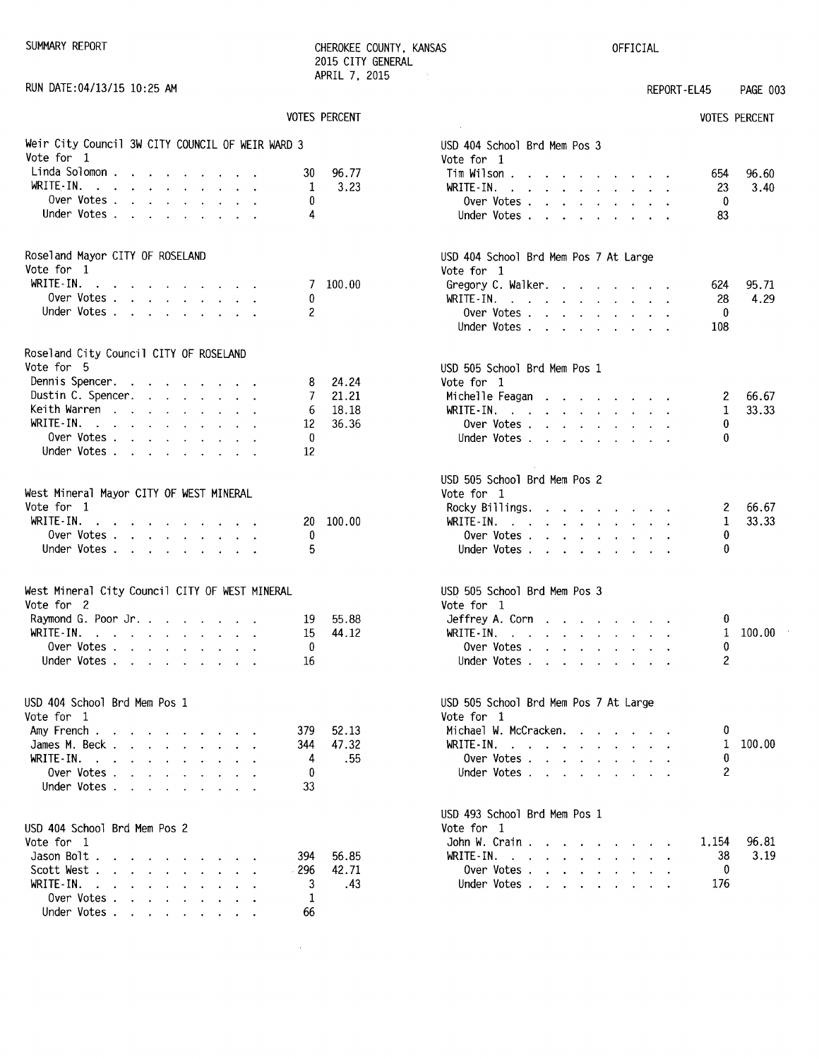SUMMARY REPORT **CHEROKEE COUNTY, KANSAS** 2015 CITY GENERAL APRIL 7. 2015  $\mathcal{A}_1$ 

OFFICIAL

| RUN DATE: 04/13/15 10:25 AM                                                                                                  |                      |                                                                                                                                                                                                                                                    | REPORT-EL45 | PAGE 003                   |
|------------------------------------------------------------------------------------------------------------------------------|----------------------|----------------------------------------------------------------------------------------------------------------------------------------------------------------------------------------------------------------------------------------------------|-------------|----------------------------|
|                                                                                                                              | <b>VOTES PERCENT</b> |                                                                                                                                                                                                                                                    |             | <b>VOTES PERCENT</b>       |
| Weir City Council 3W CITY COUNCIL OF WEIR WARD 3<br>Vote for 1                                                               |                      | USD 404 School Brd Mem Pos 3<br>Vote for 1                                                                                                                                                                                                         |             |                            |
| Linda Solomon                                                                                                                | 96.77<br>30          | Tim Wilson                                                                                                                                                                                                                                         |             | 96.60<br>654               |
| WRITE-IN.                                                                                                                    | 3.23<br>1            | WRITE-IN.                                                                                                                                                                                                                                          |             | 3.40<br>23                 |
| Over Votes                                                                                                                   | 0                    | Over Votes                                                                                                                                                                                                                                         |             | 0                          |
| Under Votes                                                                                                                  | 4                    | Under Votes                                                                                                                                                                                                                                        |             | 83                         |
| Roseland Mayor CITY OF ROSELAND                                                                                              |                      | USD 404 School Brd Mem Pos 7 At Large                                                                                                                                                                                                              |             |                            |
| Vote for 1<br>WRITE-IN.                                                                                                      | 7 100.00             | Vote for 1                                                                                                                                                                                                                                         |             |                            |
| المنابعة المنابعة المنابعة المنابعة المنابعة<br>Over Votes                                                                   | 0                    | Gregory C. Walker.<br>WRITE-IN.                                                                                                                                                                                                                    |             | 95.71<br>624<br>28<br>4.29 |
| Under Votes                                                                                                                  | 2                    | Over Votes                                                                                                                                                                                                                                         |             | 0                          |
|                                                                                                                              |                      | Under Votes                                                                                                                                                                                                                                        |             | 108                        |
| Roseland City Council CITY OF ROSELAND                                                                                       |                      |                                                                                                                                                                                                                                                    |             |                            |
| Vote for 5                                                                                                                   | 24.24                | USD 505 School Brd Mem Pos 1<br>Vote for 1                                                                                                                                                                                                         |             |                            |
| Dennis Spencer.<br>Dustin C. Spencer.                                                                                        | 8<br>21.21<br>7      | Michelle Feagan                                                                                                                                                                                                                                    |             | 66.67<br>$\mathbf{z}$      |
| Keith Warren                                                                                                                 | 18.18<br>6           | WRITE-IN.                                                                                                                                                                                                                                          |             | 33.33<br>1                 |
| WRITE-IN.                                                                                                                    | 36.36<br>12          | Over Votes                                                                                                                                                                                                                                         |             | 0                          |
| Over Votes                                                                                                                   | 0                    | Under Votes                                                                                                                                                                                                                                        |             | 0                          |
| Under Votes                                                                                                                  | 12                   |                                                                                                                                                                                                                                                    |             |                            |
|                                                                                                                              |                      | USD 505 School Brd Mem Pos 2                                                                                                                                                                                                                       |             |                            |
| West Mineral Mayor CITY OF WEST MINERAL<br>Vote for 1                                                                        |                      | Vote for 1                                                                                                                                                                                                                                         |             | 66.67                      |
| WRITE IN.<br>the contract of the contract of the contract of                                                                 | 100.00<br>20         | Rocky Billings.<br>WRITE-IN.                                                                                                                                                                                                                       |             | 2<br>$\mathbf 1$<br>33.33  |
| Over Votes                                                                                                                   | 0                    | Over Votes                                                                                                                                                                                                                                         |             | 0                          |
| Under Votes                                                                                                                  | 5                    | Under Votes                                                                                                                                                                                                                                        |             | $\bf{0}$                   |
| West Mineral City Council CITY OF WEST MINERAL<br>Vote for 2                                                                 |                      | USD 505 School Brd Mem Pos 3<br>Vote for 1                                                                                                                                                                                                         |             |                            |
| Raymond G. Poor Jr.                                                                                                          | 55.88<br>19          | Jeffrey A. Corn                                                                                                                                                                                                                                    |             | 0                          |
| WRITE-IN.                                                                                                                    | 15<br>44.12          | WRITE-IN. $\cdots$ $\cdots$ $\cdots$                                                                                                                                                                                                               |             | 100.00<br>1                |
| Over Votes                                                                                                                   | 0                    | Over Votes $\cdots$ $\cdots$ $\cdots$ $\cdots$                                                                                                                                                                                                     |             | 0                          |
| Under Votes                                                                                                                  | 16                   | Under Votes                                                                                                                                                                                                                                        |             | 2                          |
| USD 404 School Brd Mem Pos 1<br>Vote for 1                                                                                   |                      | USD 505 School Brd Mem Pos 7 At Large<br>Vote for 1                                                                                                                                                                                                |             |                            |
| Amy French                                                                                                                   | 52.13<br>379         | Michael W. McCracken.                                                                                                                                                                                                                              |             | 0                          |
| James M. Beck                                                                                                                | 47.32<br>344         | WRITE-IN.                                                                                                                                                                                                                                          |             | 100.00<br>1                |
| WRITE-IN.                                                                                                                    | 4<br>. 55            | Over Votes $\ldots$ $\ldots$ $\ldots$ $\ldots$                                                                                                                                                                                                     |             | 0                          |
| Over Votes                                                                                                                   | 0                    | Under Votes                                                                                                                                                                                                                                        |             | $\overline{c}$             |
| Under Votes                                                                                                                  | 33                   |                                                                                                                                                                                                                                                    |             |                            |
| USD 404 School Brd Mem Pos 2                                                                                                 |                      | USD 493 School Brd Mem Pos 1<br>Vote for 1                                                                                                                                                                                                         |             |                            |
| Vote for 1                                                                                                                   |                      | John W. Crain                                                                                                                                                                                                                                      |             | 96.81<br>1.154             |
| Jason Bolt                                                                                                                   | 56.85<br>394         | WRITE-IN.<br>$\mathbf{a}$ and $\mathbf{a}$ are a set of the set of the set of the set of the set of the set of the set of the set of the set of the set of the set of the set of the set of the set of the set of the set of the set of the set of |             | 38<br>3.19                 |
| Scott West                                                                                                                   | 42.71<br>296         | Over Votes                                                                                                                                                                                                                                         |             | $\mathbf 0$                |
| WRITE IN.<br>the contract of the contract of the contract of the contract of the contract of the contract of the contract of | 3<br>.43             | Under Votes                                                                                                                                                                                                                                        |             | 176                        |
| Over Votes                                                                                                                   | 1                    |                                                                                                                                                                                                                                                    |             |                            |
| Under Votes                                                                                                                  | 66                   |                                                                                                                                                                                                                                                    |             |                            |

 $\mathcal{L}_{\mathrm{eff}}$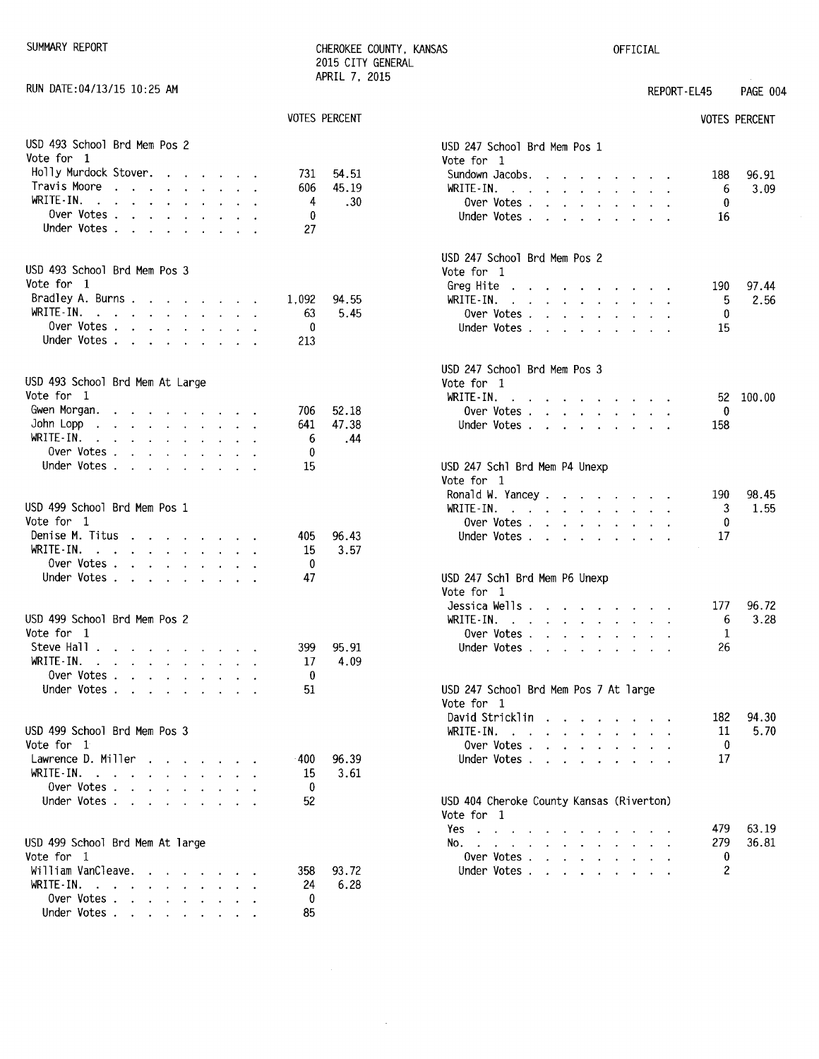SUMMARY REPORT CHEROKEE COUNTY, KANSAS OFFICIAL 2015 CITY GENERAL APRIL 7. 2015

 $\hat{\boldsymbol{\beta}}$ 

RUN DATE:04/13/15 10:25 AM **REPORT-EL45** PAGE 004

| <b>VOTES PERCENT</b>                                                                                                                                                                                                                                   | <b>VOTES PERCENT</b>                                                                                                                                                                                                                                                                                                    |
|--------------------------------------------------------------------------------------------------------------------------------------------------------------------------------------------------------------------------------------------------------|-------------------------------------------------------------------------------------------------------------------------------------------------------------------------------------------------------------------------------------------------------------------------------------------------------------------------|
| USD 493 School Brd Mem Pos 2<br>Vote for 1<br>Holly Murdock Stover.<br>731                                                                                                                                                                             | USD 247 School Brd Mem Pos 1<br>Vote for 1<br>54.51<br>Sundown Jacobs.<br>96.91<br>188                                                                                                                                                                                                                                  |
| Travis Moore<br>606<br>$\mathbf{a}$ and $\mathbf{a}$ and $\mathbf{a}$ and $\mathbf{a}$ and $\mathbf{a}$                                                                                                                                                | $\mathbf{r}$ . The set of the set of the set of the set of the set of the set of the set of the set of the set of the set of the set of the set of the set of the set of the set of the set of the set of the set of the set of t<br>45.19<br>WRITE-IN.<br>3.09<br>6<br>the contract of the contract of the contract of |
| WRITE-IN.<br>the contract of the contract of the contract of<br>4                                                                                                                                                                                      | .30<br>Over Votes.<br>0<br>$\mathbf{r}$ , $\mathbf{r}$ , $\mathbf{r}$ , $\mathbf{r}$ , $\mathbf{r}$ , $\mathbf{r}$                                                                                                                                                                                                      |
| Over Votes.<br>0<br>and the contract of the contract of                                                                                                                                                                                                | Under Votes<br>16                                                                                                                                                                                                                                                                                                       |
| Under Votes<br>27                                                                                                                                                                                                                                      |                                                                                                                                                                                                                                                                                                                         |
| USD 493 School Brd Mem Pos 3                                                                                                                                                                                                                           | USD 247 School Brd Mem Pos 2<br>Vote for 1                                                                                                                                                                                                                                                                              |
| Vote for 1                                                                                                                                                                                                                                             | Greg Hite<br>97.44<br>190<br>the contract of the contract of the con-                                                                                                                                                                                                                                                   |
| Bradley A. Burns<br>1.092                                                                                                                                                                                                                              | 94.55<br>WRITE-IN.<br>2.56<br>5<br>the contract of the contract of the                                                                                                                                                                                                                                                  |
| WRITE-IN.<br>the contract of the contract of the con-<br>63                                                                                                                                                                                            | 5.45<br>0<br>Over Votes                                                                                                                                                                                                                                                                                                 |
| Over Votes<br>0                                                                                                                                                                                                                                        | Under Votes<br>15                                                                                                                                                                                                                                                                                                       |
| Under Votes.<br>213                                                                                                                                                                                                                                    |                                                                                                                                                                                                                                                                                                                         |
| USD 493 School Brd Mem At Large<br>Vote for 1                                                                                                                                                                                                          | USD 247 School Brd Mem Pos 3<br>Vote for 1<br>WRITE-IN.<br>100.00<br>52<br>$\mathbf{a}$ and $\mathbf{a}$ are a set of the set of the set of the set of the set of the set of the set of the set of the set of the set of the set of the set of the set of the set of the set of the set of the set of the set of        |
| Gwen Morgan.<br>706<br>the contract of the contract of the contract of the contract of the contract of the contract of the contract of                                                                                                                 | 52.18<br>0<br>Over Votes $\cdots$ $\cdots$ $\cdots$ $\cdots$                                                                                                                                                                                                                                                            |
| John Lopp<br>641<br>the contract of the contract of the contract of                                                                                                                                                                                    | 47.38<br>158<br>Under Votes                                                                                                                                                                                                                                                                                             |
| WRITE-IN.<br>6<br>the contract of the contract of the contract of the contract of the contract of the contract of the contract of                                                                                                                      | .44                                                                                                                                                                                                                                                                                                                     |
| Over Votes<br>0                                                                                                                                                                                                                                        |                                                                                                                                                                                                                                                                                                                         |
| Under Votes<br>15                                                                                                                                                                                                                                      | USD 247 Schl Brd Mem P4 Unexp<br>Vote for 1                                                                                                                                                                                                                                                                             |
|                                                                                                                                                                                                                                                        | Ronald W. Yancey<br>190<br>98.45                                                                                                                                                                                                                                                                                        |
| USD 499 School Brd Mem Pos 1                                                                                                                                                                                                                           | WRITE-IN.<br>3<br>1.55                                                                                                                                                                                                                                                                                                  |
| Vote for 1                                                                                                                                                                                                                                             | 0<br>Over Votes                                                                                                                                                                                                                                                                                                         |
| Denise M. Titus<br>405<br>the contract of the contract of                                                                                                                                                                                              | 96.43<br>17<br>Under Votes                                                                                                                                                                                                                                                                                              |
| WRITE IN.<br>15<br>the contract of the contract of the contract of the contract of the contract of the contract of the contract of                                                                                                                     | 3.57                                                                                                                                                                                                                                                                                                                    |
| Over Votes<br>0                                                                                                                                                                                                                                        |                                                                                                                                                                                                                                                                                                                         |
| Under Votes<br>47                                                                                                                                                                                                                                      | USD 247 Schl Brd Mem P6 Unexp<br>Vote for 1                                                                                                                                                                                                                                                                             |
| USD 499 School Brd Mem Pos 2<br>Vote for 1                                                                                                                                                                                                             | Jessica Wells<br>96.72<br>177<br>6<br>3.28<br>WRITE-IN. $\cdots$ $\cdots$ $\cdots$                                                                                                                                                                                                                                      |
| Steve Hall<br>399                                                                                                                                                                                                                                      | Over Votes<br>1<br>26<br>95.91<br>Under Votes                                                                                                                                                                                                                                                                           |
| WRITE-IN.<br>17<br>$\mathbf{r}$ , and $\mathbf{r}$ , and $\mathbf{r}$ , and $\mathbf{r}$ , and $\mathbf{r}$                                                                                                                                            | 4.09                                                                                                                                                                                                                                                                                                                    |
| Over Votes .<br>0<br>$\mathbf{r}$ . The contract of the contract of the contract of the contract of the contract of the contract of the contract of the contract of the contract of the contract of the contract of the contract of the contract of th |                                                                                                                                                                                                                                                                                                                         |
| Under Votes<br>51                                                                                                                                                                                                                                      | USD 247 School Brd Mem Pos 7 At large                                                                                                                                                                                                                                                                                   |
|                                                                                                                                                                                                                                                        | Vote for 1                                                                                                                                                                                                                                                                                                              |
| USD 499 School Brd Mem Pos 3                                                                                                                                                                                                                           | 182<br>94.30<br>David Stricklin<br>5.70<br>WRITE-IN.                                                                                                                                                                                                                                                                    |
| Vote for 1                                                                                                                                                                                                                                             | 11<br>the contract of the contract of the contract of the contract of the contract of<br>$\sim$<br>0                                                                                                                                                                                                                    |
| Lawrence D. Miller<br>-400                                                                                                                                                                                                                             | Over Votes<br>17<br>96.39<br>Under Votes                                                                                                                                                                                                                                                                                |
| WRITE-IN.<br>15                                                                                                                                                                                                                                        | 3.61                                                                                                                                                                                                                                                                                                                    |
| Over Votes<br>0                                                                                                                                                                                                                                        |                                                                                                                                                                                                                                                                                                                         |
| Under Votes<br>52                                                                                                                                                                                                                                      | USD 404 Cheroke County Kansas (Riverton)                                                                                                                                                                                                                                                                                |
|                                                                                                                                                                                                                                                        | Vote for 1                                                                                                                                                                                                                                                                                                              |
|                                                                                                                                                                                                                                                        | 479<br>63.19<br>Yes.<br>279<br>36.81                                                                                                                                                                                                                                                                                    |
| USD 499 School Brd Mem At large<br>Vote for 1                                                                                                                                                                                                          | No.<br>Over Votes.<br>$\bf{0}$                                                                                                                                                                                                                                                                                          |
| William VanCleave<br>358                                                                                                                                                                                                                               | 2<br>Under Votes<br>93.72                                                                                                                                                                                                                                                                                               |
| WRITE-IN. $\cdots$<br>24                                                                                                                                                                                                                               | 6.28                                                                                                                                                                                                                                                                                                                    |
| Over Votes<br>0                                                                                                                                                                                                                                        |                                                                                                                                                                                                                                                                                                                         |
| Under Votes<br>85                                                                                                                                                                                                                                      |                                                                                                                                                                                                                                                                                                                         |
|                                                                                                                                                                                                                                                        |                                                                                                                                                                                                                                                                                                                         |

|                | VOTES PERCENT |                                                        |                                                                                                                       |                                                                                                                                                                                                                                      |                      |                                                                                                                                                                                                                                                                                                                                                                                                                                                            |                           |                      |                      |                      |                | <b>VOTES PERCENT</b> |
|----------------|---------------|--------------------------------------------------------|-----------------------------------------------------------------------------------------------------------------------|--------------------------------------------------------------------------------------------------------------------------------------------------------------------------------------------------------------------------------------|----------------------|------------------------------------------------------------------------------------------------------------------------------------------------------------------------------------------------------------------------------------------------------------------------------------------------------------------------------------------------------------------------------------------------------------------------------------------------------------|---------------------------|----------------------|----------------------|----------------------|----------------|----------------------|
|                |               | USD 247 School Brd Mem Pos 1<br>Vote for 1             |                                                                                                                       |                                                                                                                                                                                                                                      |                      |                                                                                                                                                                                                                                                                                                                                                                                                                                                            |                           |                      |                      |                      |                |                      |
| 731            | 54.51         | Sundown Jacobs.                                        |                                                                                                                       | $\sim$                                                                                                                                                                                                                               |                      | the contract of the contract of the                                                                                                                                                                                                                                                                                                                                                                                                                        |                           |                      |                      |                      | 188            | 96.91                |
| 606            | 45.19         | WRITE-IN. $\cdots$ $\cdots$ $\cdots$                   |                                                                                                                       |                                                                                                                                                                                                                                      |                      |                                                                                                                                                                                                                                                                                                                                                                                                                                                            |                           |                      |                      | $\ddot{\phantom{0}}$ | -6             | 3.09                 |
| 4              | .30           | Over Votes .                                           |                                                                                                                       | <b>Contract Contract</b>                                                                                                                                                                                                             |                      | $\mathbf{1} \qquad \mathbf{1} \qquad \mathbf{1} \qquad \mathbf{1} \qquad \mathbf{1} \qquad \mathbf{1} \qquad \mathbf{1} \qquad \mathbf{1} \qquad \mathbf{1} \qquad \mathbf{1} \qquad \mathbf{1} \qquad \mathbf{1} \qquad \mathbf{1} \qquad \mathbf{1} \qquad \mathbf{1} \qquad \mathbf{1} \qquad \mathbf{1} \qquad \mathbf{1} \qquad \mathbf{1} \qquad \mathbf{1} \qquad \mathbf{1} \qquad \mathbf{1} \qquad \mathbf{1} \qquad \mathbf{1} \qquad \mathbf{$ |                           |                      |                      |                      | 0              |                      |
| 0              |               | Under Votes .                                          |                                                                                                                       | <u>in the community of the community of the community of the community of the community of the community of the community of the community of the community of the community of the community of the community of the community </u> |                      |                                                                                                                                                                                                                                                                                                                                                                                                                                                            |                           |                      | $\mathbf{L}$         |                      | 16             |                      |
| 27             |               |                                                        |                                                                                                                       |                                                                                                                                                                                                                                      |                      |                                                                                                                                                                                                                                                                                                                                                                                                                                                            |                           |                      |                      |                      |                |                      |
|                |               | USD 247 School Brd Mem Pos 2<br>Vote for 1             |                                                                                                                       |                                                                                                                                                                                                                                      |                      |                                                                                                                                                                                                                                                                                                                                                                                                                                                            |                           |                      |                      |                      |                |                      |
|                |               | Greg Hite $\ldots$ $\ldots$ $\ldots$ $\ldots$ $\ldots$ |                                                                                                                       |                                                                                                                                                                                                                                      |                      |                                                                                                                                                                                                                                                                                                                                                                                                                                                            |                           |                      |                      |                      | 190            | 97.44                |
| 1.092          | 94.55         | WRITE-IN.                                              | the contract of the contract of the contract of the contract of the contract of the contract of the contract of       |                                                                                                                                                                                                                                      |                      |                                                                                                                                                                                                                                                                                                                                                                                                                                                            |                           |                      |                      |                      | 5              | 2.56                 |
| 63             | 5.45          | Over Votes                                             |                                                                                                                       |                                                                                                                                                                                                                                      |                      |                                                                                                                                                                                                                                                                                                                                                                                                                                                            |                           |                      |                      | $\sim$               | 0              |                      |
| 0              |               | Under Votes                                            |                                                                                                                       |                                                                                                                                                                                                                                      |                      |                                                                                                                                                                                                                                                                                                                                                                                                                                                            |                           |                      |                      |                      | 15             |                      |
| 213            |               |                                                        |                                                                                                                       |                                                                                                                                                                                                                                      |                      |                                                                                                                                                                                                                                                                                                                                                                                                                                                            |                           |                      |                      |                      |                |                      |
|                |               | USD 247 School Brd Mem Pos 3<br>Vote for 1             |                                                                                                                       |                                                                                                                                                                                                                                      |                      |                                                                                                                                                                                                                                                                                                                                                                                                                                                            |                           |                      |                      |                      |                |                      |
|                |               | WRITE-IN.                                              | and a strain and a strain and a                                                                                       |                                                                                                                                                                                                                                      |                      |                                                                                                                                                                                                                                                                                                                                                                                                                                                            |                           |                      |                      |                      | 52             | 100.00               |
| 706            | 52.18         | Over Votes                                             |                                                                                                                       |                                                                                                                                                                                                                                      |                      |                                                                                                                                                                                                                                                                                                                                                                                                                                                            |                           |                      |                      |                      | - 0            |                      |
| 641            | 47.38         | Under Votes                                            |                                                                                                                       |                                                                                                                                                                                                                                      |                      |                                                                                                                                                                                                                                                                                                                                                                                                                                                            |                           |                      |                      |                      | 158            |                      |
| 6<br>0         | .44           |                                                        |                                                                                                                       |                                                                                                                                                                                                                                      |                      |                                                                                                                                                                                                                                                                                                                                                                                                                                                            |                           |                      |                      |                      |                |                      |
| 15             |               | USD 247 Schl Brd Mem P4 Unexp                          |                                                                                                                       |                                                                                                                                                                                                                                      |                      |                                                                                                                                                                                                                                                                                                                                                                                                                                                            |                           |                      |                      |                      |                |                      |
|                |               | Vote for 1                                             |                                                                                                                       |                                                                                                                                                                                                                                      |                      |                                                                                                                                                                                                                                                                                                                                                                                                                                                            |                           |                      |                      |                      |                |                      |
|                |               | Ronald W. Yancey                                       |                                                                                                                       |                                                                                                                                                                                                                                      |                      |                                                                                                                                                                                                                                                                                                                                                                                                                                                            |                           |                      |                      |                      | 190            | 98.45                |
|                |               | WRITE-IN.                                              | $\mathcal{A}$ . The second contribution of $\mathcal{A}$                                                              |                                                                                                                                                                                                                                      |                      |                                                                                                                                                                                                                                                                                                                                                                                                                                                            |                           |                      |                      | $\sim$               | 3              | 1.55                 |
|                |               | Over Votes                                             |                                                                                                                       |                                                                                                                                                                                                                                      |                      |                                                                                                                                                                                                                                                                                                                                                                                                                                                            |                           |                      |                      | $\mathbf{r}$         | 0              |                      |
| 405            | 96.43         | Under Votes                                            |                                                                                                                       |                                                                                                                                                                                                                                      |                      |                                                                                                                                                                                                                                                                                                                                                                                                                                                            |                           |                      |                      |                      | 17             |                      |
| 15<br>0        | 3.57          |                                                        |                                                                                                                       |                                                                                                                                                                                                                                      |                      |                                                                                                                                                                                                                                                                                                                                                                                                                                                            |                           |                      |                      |                      |                |                      |
| 47             |               | USD 247 Schl Brd Mem P6 Unexp<br>Vote for 1            |                                                                                                                       |                                                                                                                                                                                                                                      |                      |                                                                                                                                                                                                                                                                                                                                                                                                                                                            |                           |                      |                      |                      |                |                      |
|                |               | Jessica Wells                                          |                                                                                                                       |                                                                                                                                                                                                                                      |                      |                                                                                                                                                                                                                                                                                                                                                                                                                                                            |                           |                      |                      |                      | 177            | 96.72                |
|                |               | WRITE IN.                                              | $\mathcal{A}$ and $\mathcal{A}$ are also associated as a set of $\mathcal{A}$                                         |                                                                                                                                                                                                                                      |                      |                                                                                                                                                                                                                                                                                                                                                                                                                                                            |                           |                      |                      |                      | 6              | 3.28                 |
|                |               | Over Votes.                                            |                                                                                                                       | and the contract of the contract of the contract of the contract of the contract of                                                                                                                                                  |                      |                                                                                                                                                                                                                                                                                                                                                                                                                                                            |                           |                      |                      |                      | -1             |                      |
| 399            | 95.91         | Under Votes                                            |                                                                                                                       |                                                                                                                                                                                                                                      |                      |                                                                                                                                                                                                                                                                                                                                                                                                                                                            |                           |                      |                      |                      | 26             |                      |
| 17<br>0        | 4.09          |                                                        |                                                                                                                       |                                                                                                                                                                                                                                      |                      |                                                                                                                                                                                                                                                                                                                                                                                                                                                            |                           |                      |                      |                      |                |                      |
| 51             |               | USD 247 School Brd Mem Pos 7 At large                  |                                                                                                                       |                                                                                                                                                                                                                                      |                      |                                                                                                                                                                                                                                                                                                                                                                                                                                                            |                           |                      |                      |                      |                |                      |
|                |               | Vote for 1                                             |                                                                                                                       |                                                                                                                                                                                                                                      |                      |                                                                                                                                                                                                                                                                                                                                                                                                                                                            |                           |                      |                      |                      |                |                      |
|                |               | David Stricklin                                        |                                                                                                                       |                                                                                                                                                                                                                                      |                      |                                                                                                                                                                                                                                                                                                                                                                                                                                                            |                           |                      |                      |                      |                | 182 94.30            |
|                |               | WRITE-IN.                                              | $\ddot{\phantom{a}}$                                                                                                  |                                                                                                                                                                                                                                      |                      |                                                                                                                                                                                                                                                                                                                                                                                                                                                            |                           |                      |                      |                      | 11             | 5.70                 |
|                |               | Over Votes .                                           |                                                                                                                       |                                                                                                                                                                                                                                      |                      |                                                                                                                                                                                                                                                                                                                                                                                                                                                            |                           |                      |                      |                      | 0              |                      |
| $-400$         | 96.39         | Under Votes.                                           |                                                                                                                       | $\sim$                                                                                                                                                                                                                               | $\ddot{\phantom{0}}$ | $\mathbf{L}^{\text{max}}$                                                                                                                                                                                                                                                                                                                                                                                                                                  | $\mathbf{L}^{\text{max}}$ | $\ddot{\phantom{0}}$ | $\ddot{\phantom{0}}$ |                      | 17             |                      |
| 15<br>$\bf{0}$ | 3.61          |                                                        |                                                                                                                       |                                                                                                                                                                                                                                      |                      |                                                                                                                                                                                                                                                                                                                                                                                                                                                            |                           |                      |                      |                      |                |                      |
| 52             |               | USD 404 Cheroke County Kansas (Riverton)<br>Vote for 1 |                                                                                                                       |                                                                                                                                                                                                                                      |                      |                                                                                                                                                                                                                                                                                                                                                                                                                                                            |                           |                      |                      |                      |                |                      |
|                |               | Yes.                                                   | $\mathcal{L}^{\mathcal{L}}$ , $\mathcal{L}^{\mathcal{L}}$ , $\mathcal{L}^{\mathcal{L}}$ , $\mathcal{L}^{\mathcal{L}}$ |                                                                                                                                                                                                                                      |                      |                                                                                                                                                                                                                                                                                                                                                                                                                                                            |                           |                      |                      |                      | 479            | 63.19                |
|                |               | No.<br>$\overline{a}$                                  | $\mathbf{r}$ and $\mathbf{r}$ and $\mathbf{r}$ and $\mathbf{r}$                                                       |                                                                                                                                                                                                                                      | $\mathbf{r}$         | $\overline{a}$                                                                                                                                                                                                                                                                                                                                                                                                                                             | $\mathbf{r}$              | $\mathbf{r}$         |                      |                      | 279            | 36.81                |
|                |               | Over Votes.                                            |                                                                                                                       | $\ddot{\phantom{0}}$                                                                                                                                                                                                                 | $\sim$ 100 $\sim$    | $\ddot{\phantom{a}}$                                                                                                                                                                                                                                                                                                                                                                                                                                       | $\ddot{\phantom{a}}$      | $\ddot{\phantom{0}}$ | $\ddot{\phantom{0}}$ |                      | 0              |                      |
| 358            | 93.72         | Under Votes .                                          |                                                                                                                       | $\mathbf{L}$                                                                                                                                                                                                                         | $\mathbf{r}$         | $\ddot{\phantom{a}}$                                                                                                                                                                                                                                                                                                                                                                                                                                       | $\ddot{\phantom{0}}$      |                      |                      |                      | $\overline{c}$ |                      |
| 24             | 6.28          |                                                        |                                                                                                                       |                                                                                                                                                                                                                                      |                      |                                                                                                                                                                                                                                                                                                                                                                                                                                                            |                           |                      |                      |                      |                |                      |